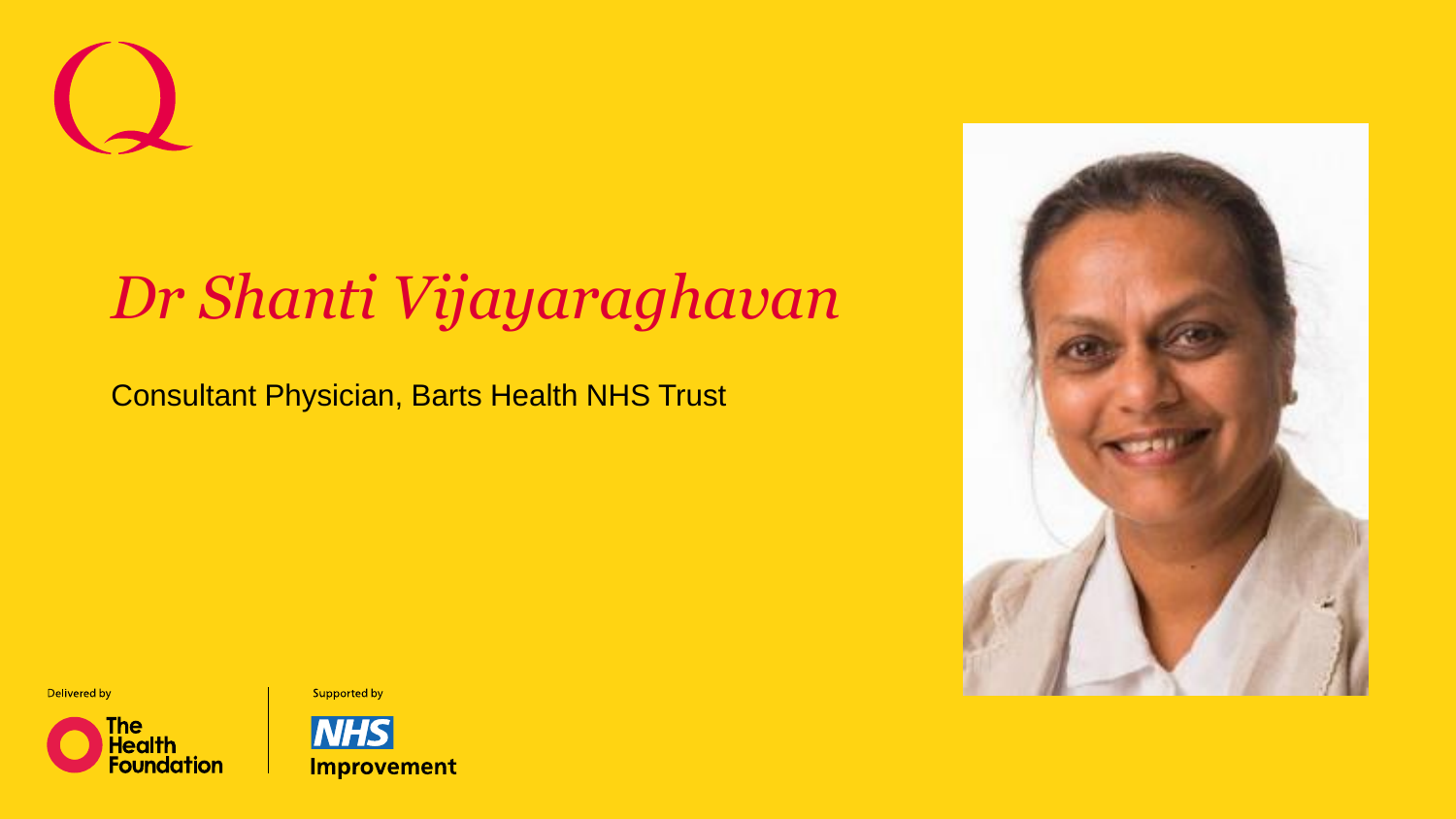## *Dr Shanti Vijayaraghavan*

Consultant Physician, Barts Health NHS Trust





Supported by



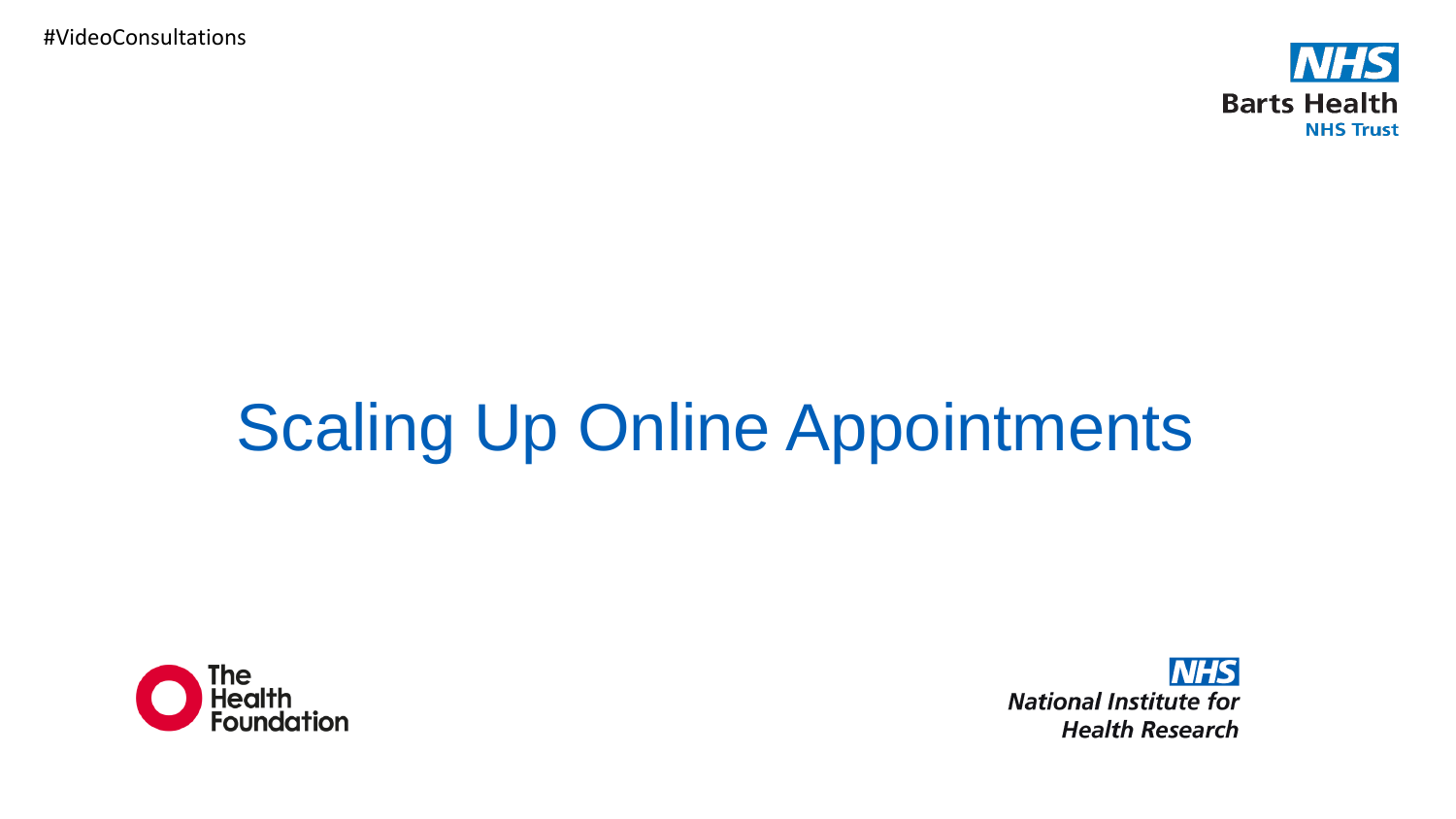#VideoConsultations



# Scaling Up Online Appointments



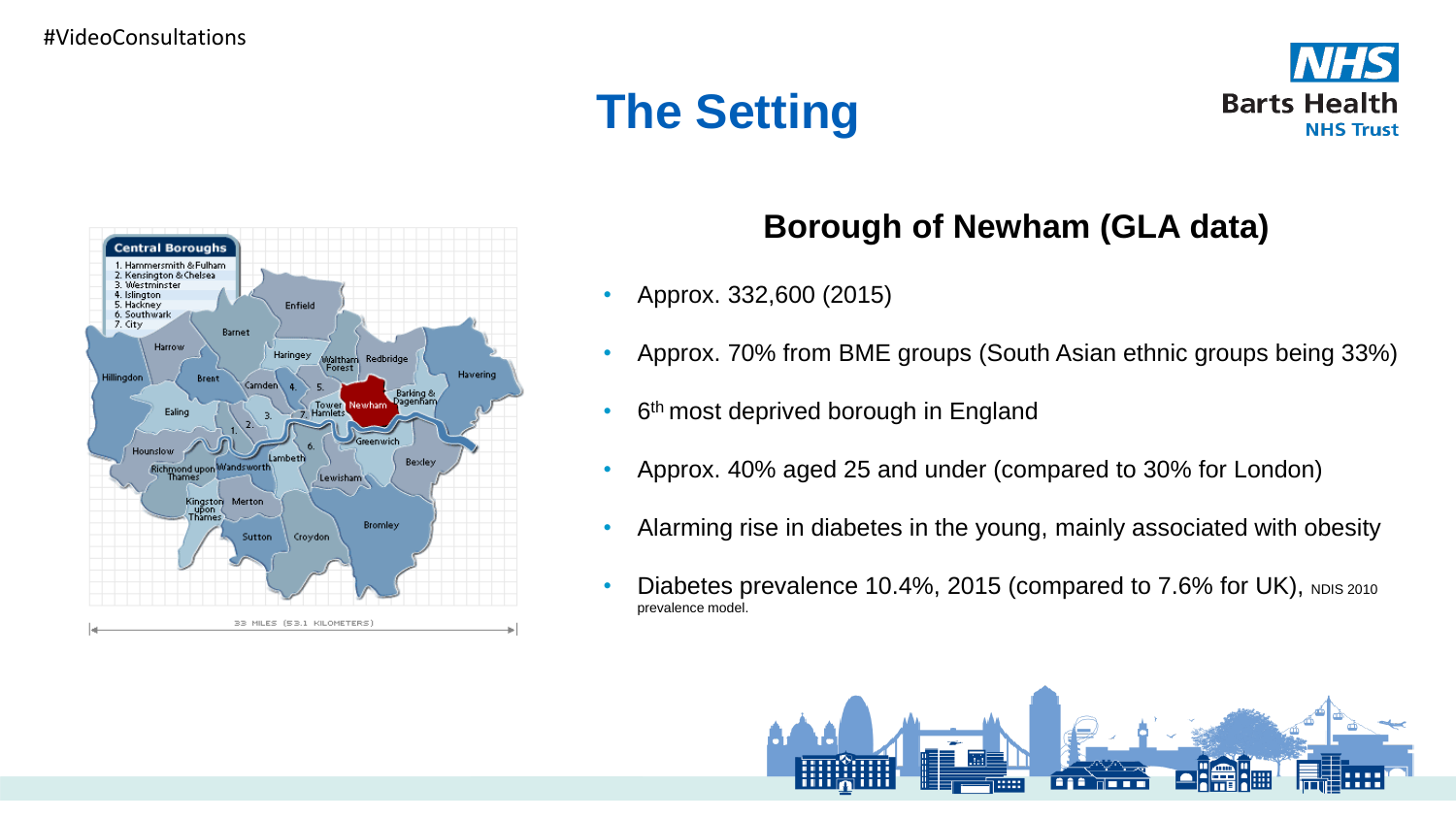## **The Setting**





### **Borough of Newham (GLA data)**

- Approx. 332,600 (2015)
- Approx. 70% from BME groups (South Asian ethnic groups being 33%)
- 6<sup>th</sup> most deprived borough in England
- Approx. 40% aged 25 and under (compared to 30% for London)
- Alarming rise in diabetes in the young, mainly associated with obesity
- Diabetes prevalence 10.4%, 2015 (compared to  $7.6\%$  for UK), NDIS 2010 prevalence model.

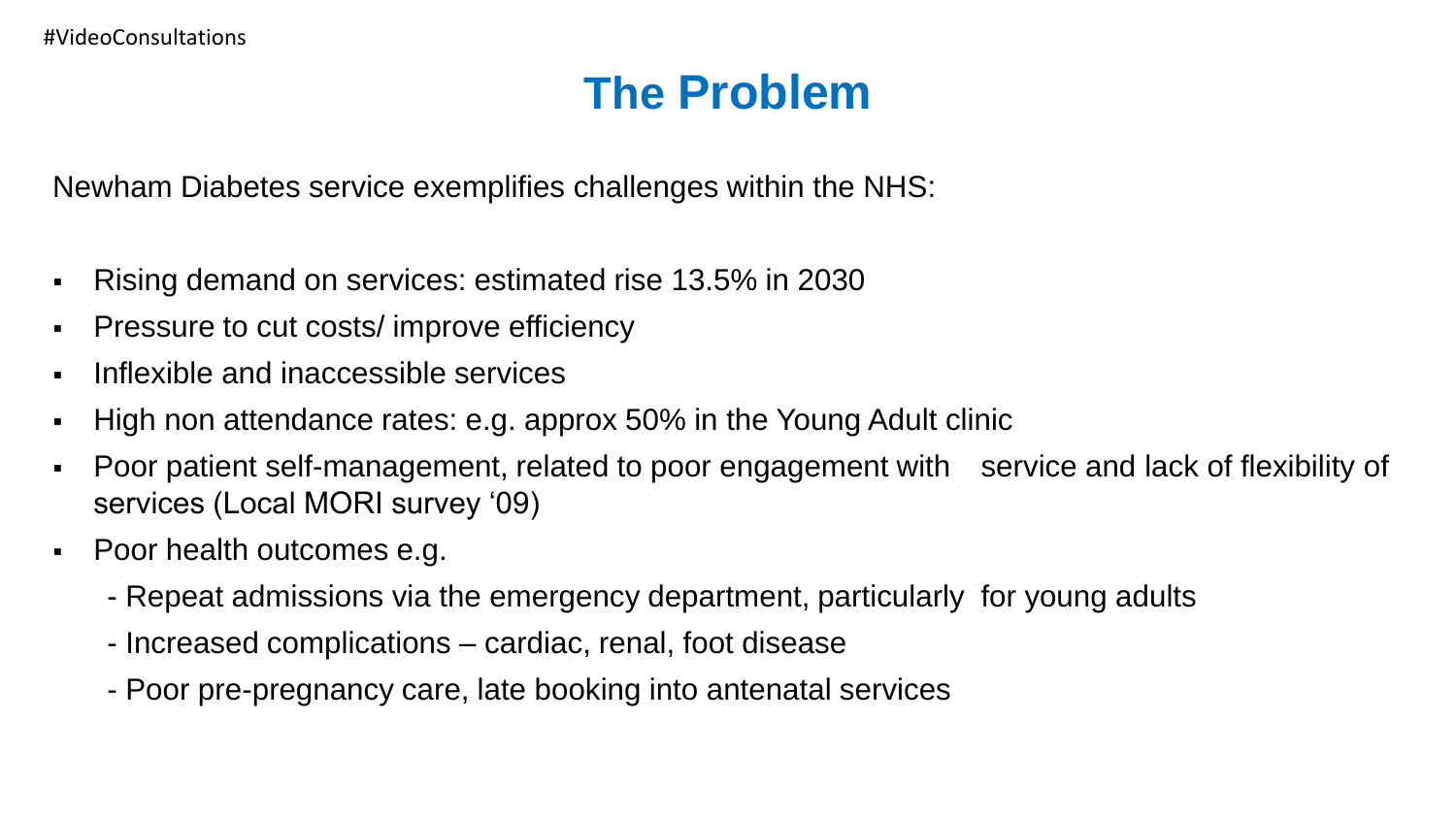## **The Problem**

Newham Diabetes service exemplifies challenges within the NHS:

- Rising demand on services: estimated rise 13.5% in 2030
- Pressure to cut costs/ improve efficiency
- Inflexible and inaccessible services
- High non attendance rates: e.g. approx 50% in the Young Adult clinic
- Poor patient self-management, related to poor engagement with service and lack of flexibility of services (Local MORI survey '09)
- Poor health outcomes e.g.
	- Repeat admissions via the emergency department, particularly for young adults
	- Increased complications cardiac, renal, foot disease
	- Poor pre-pregnancy care, late booking into antenatal services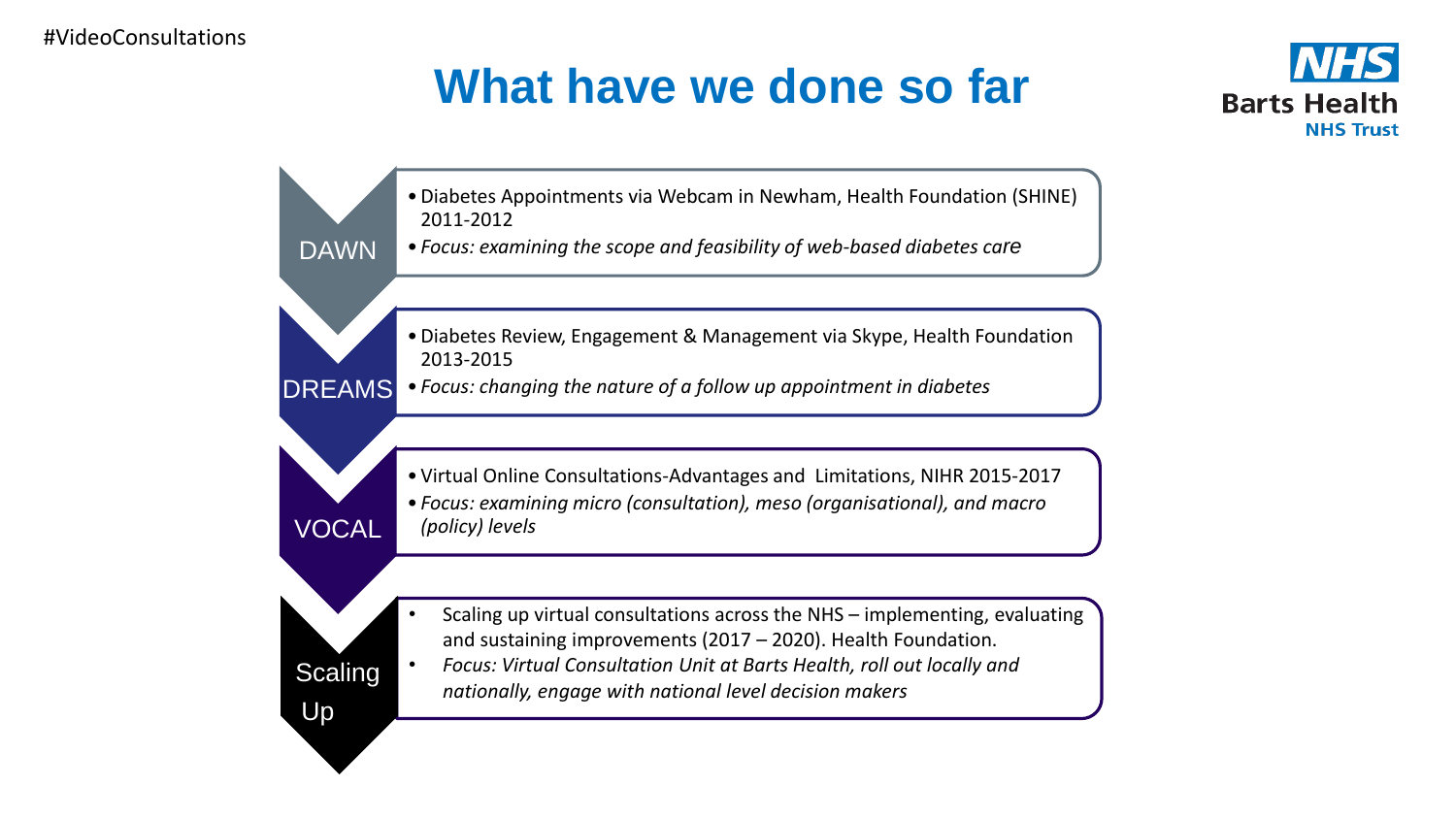DAWN

VOCAL

**Scaling** 

Up

## **What have we done so far**



•Diabetes Appointments via Webcam in Newham, Health Foundation (SHINE) 2011-2012

- *Focus: examining the scope and feasibility of web-based diabetes care*
	- •Diabetes Review, Engagement & Management via Skype, Health Foundation 2013-2015
- DREAMS • *Focus: changing the nature of a follow up appointment in diabetes*

• Virtual Online Consultations-Advantages and Limitations, NIHR 2015-2017

• *Focus: examining micro (consultation), meso (organisational), and macro (policy) levels*

• Scaling up virtual consultations across the NHS – implementing, evaluating and sustaining improvements (2017 – 2020). Health Foundation.

• *Focus: Virtual Consultation Unit at Barts Health, roll out locally and nationally, engage with national level decision makers*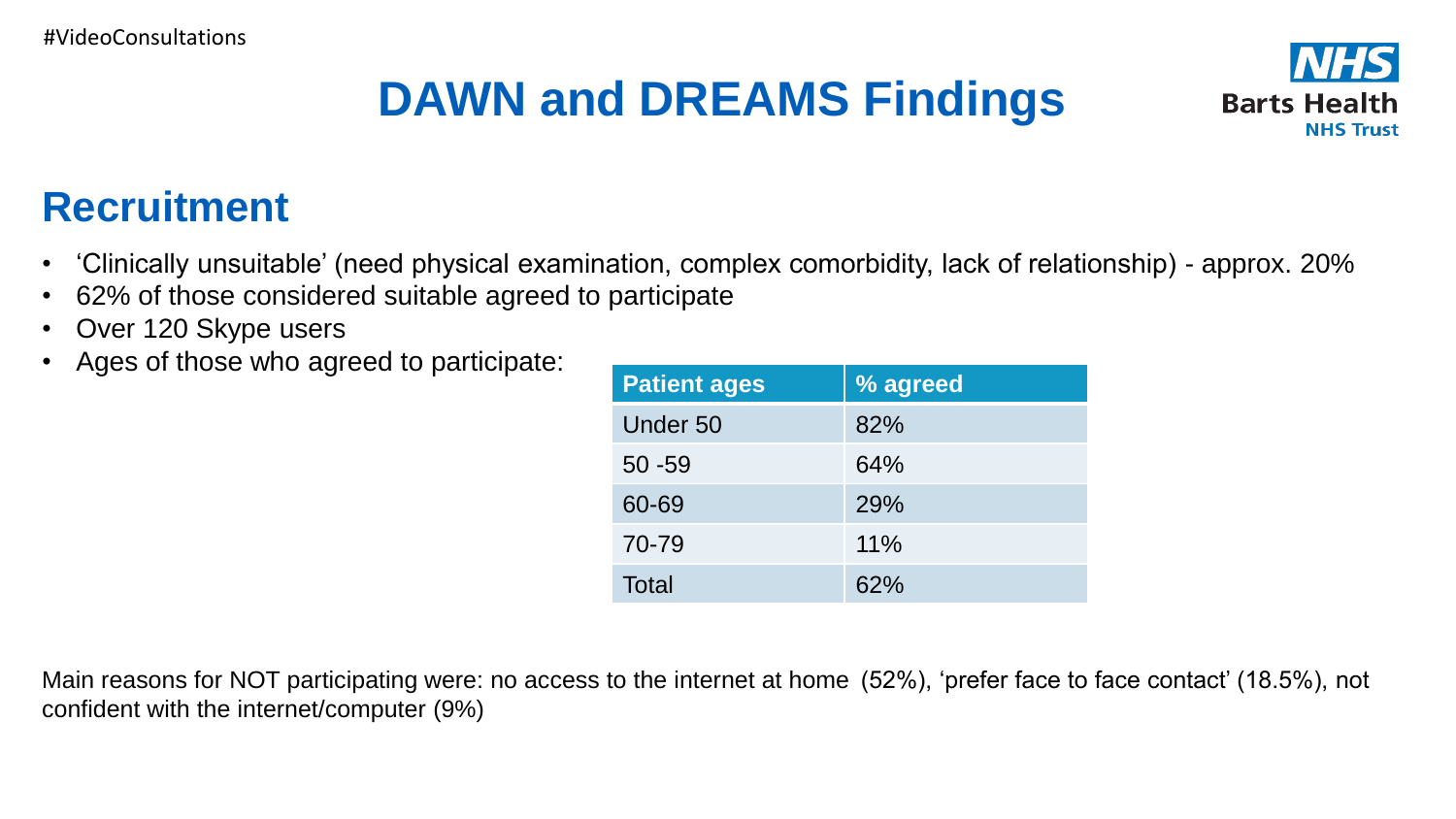## **DAWN and DREAMS Findings**



### **Recruitment**

- 'Clinically unsuitable' (need physical examination, complex comorbidity, lack of relationship) approx. 20%
- 62% of those considered suitable agreed to participate
- Over 120 Skype users
- Ages of those who agreed to participate:

| <b>Patient ages</b> | % agreed |
|---------------------|----------|
| Under 50            | 82%      |
| $50 - 59$           | 64%      |
| 60-69               | 29%      |
| 70-79               | 11%      |
| Total               | 62%      |

Main reasons for NOT participating were: no access to the internet at home (52%), 'prefer face to face contact' (18.5%), not confident with the internet/computer (9%)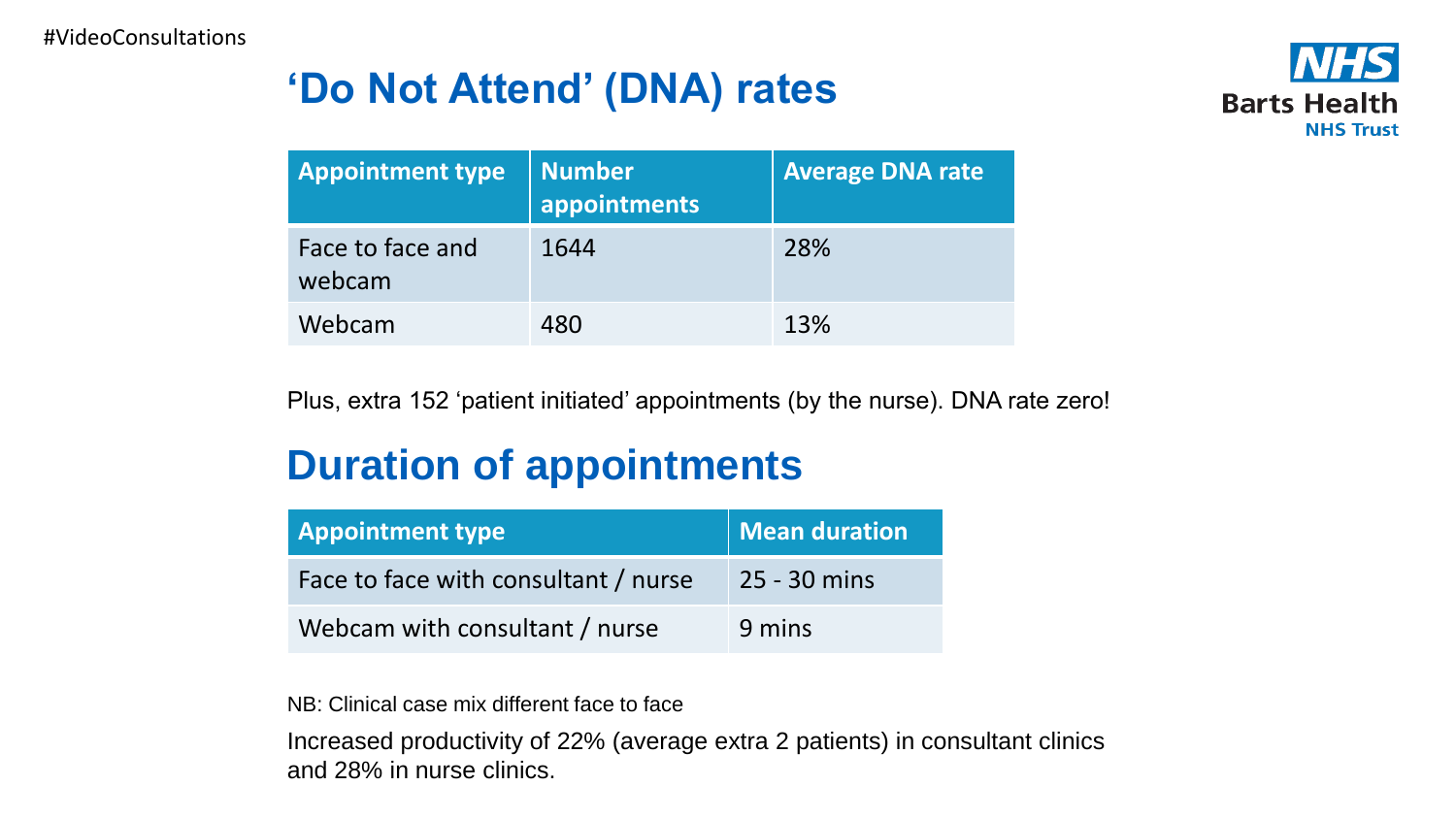## **'Do Not Attend' (DNA) rates**



| <b>Appointment type</b>    | <b>Number</b><br>appointments | <b>Average DNA rate</b> |
|----------------------------|-------------------------------|-------------------------|
| Face to face and<br>webcam | 1644                          | 28%                     |
| Webcam                     | 480                           | 13%                     |

Plus, extra 152 'patient initiated' appointments (by the nurse). DNA rate zero!

### **Duration of appointments**

| <b>Appointment type</b>              | Mean duration  |
|--------------------------------------|----------------|
| Face to face with consultant / nurse | $25 - 30$ mins |
| Webcam with consultant / nurse       | 9 mins         |

NB: Clinical case mix different face to face

Increased productivity of 22% (average extra 2 patients) in consultant clinics and 28% in nurse clinics.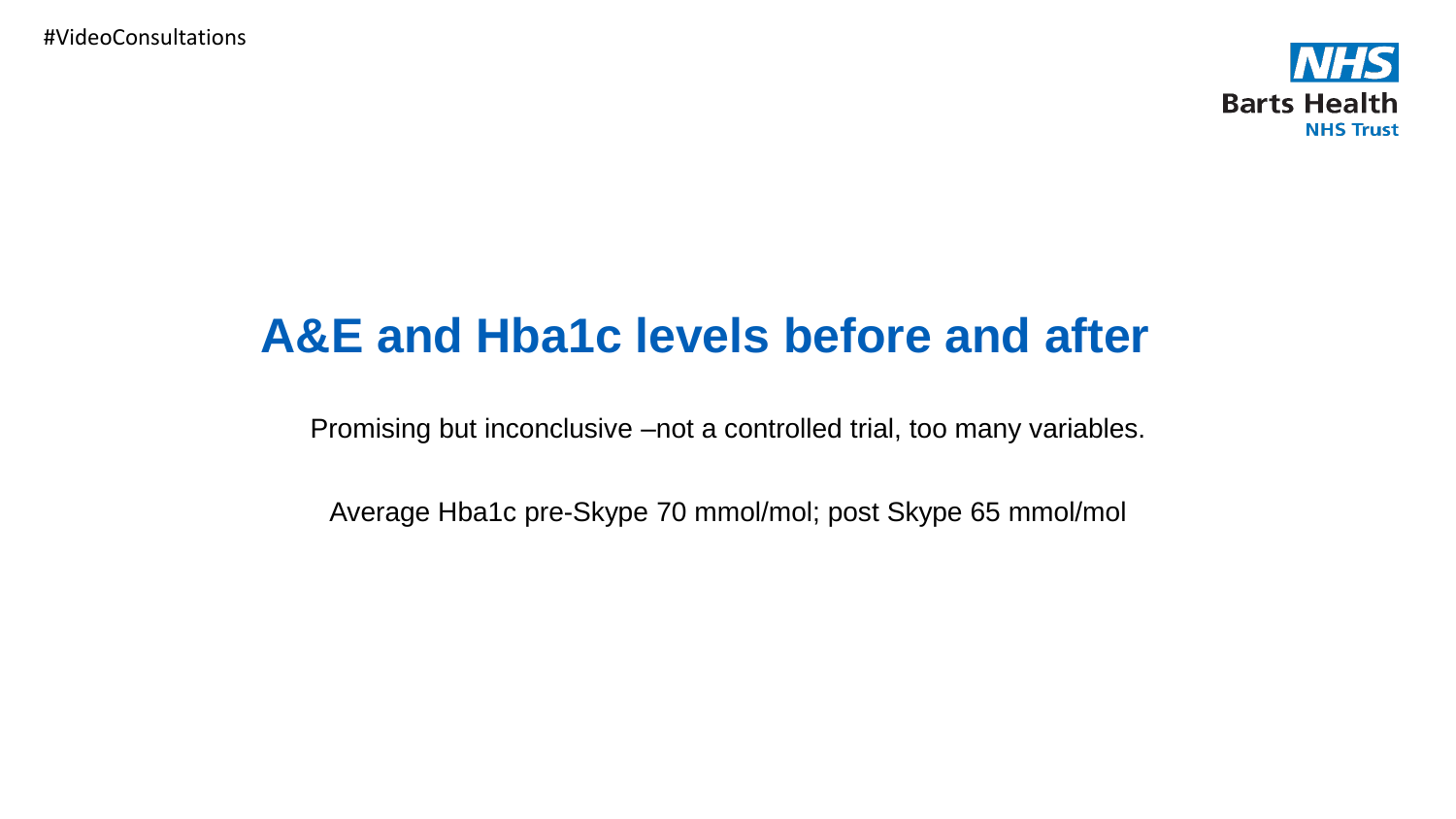#VideoConsultations



## **A&E and Hba1c levels before and after**

Promising but inconclusive –not a controlled trial, too many variables.

Average Hba1c pre-Skype 70 mmol/mol; post Skype 65 mmol/mol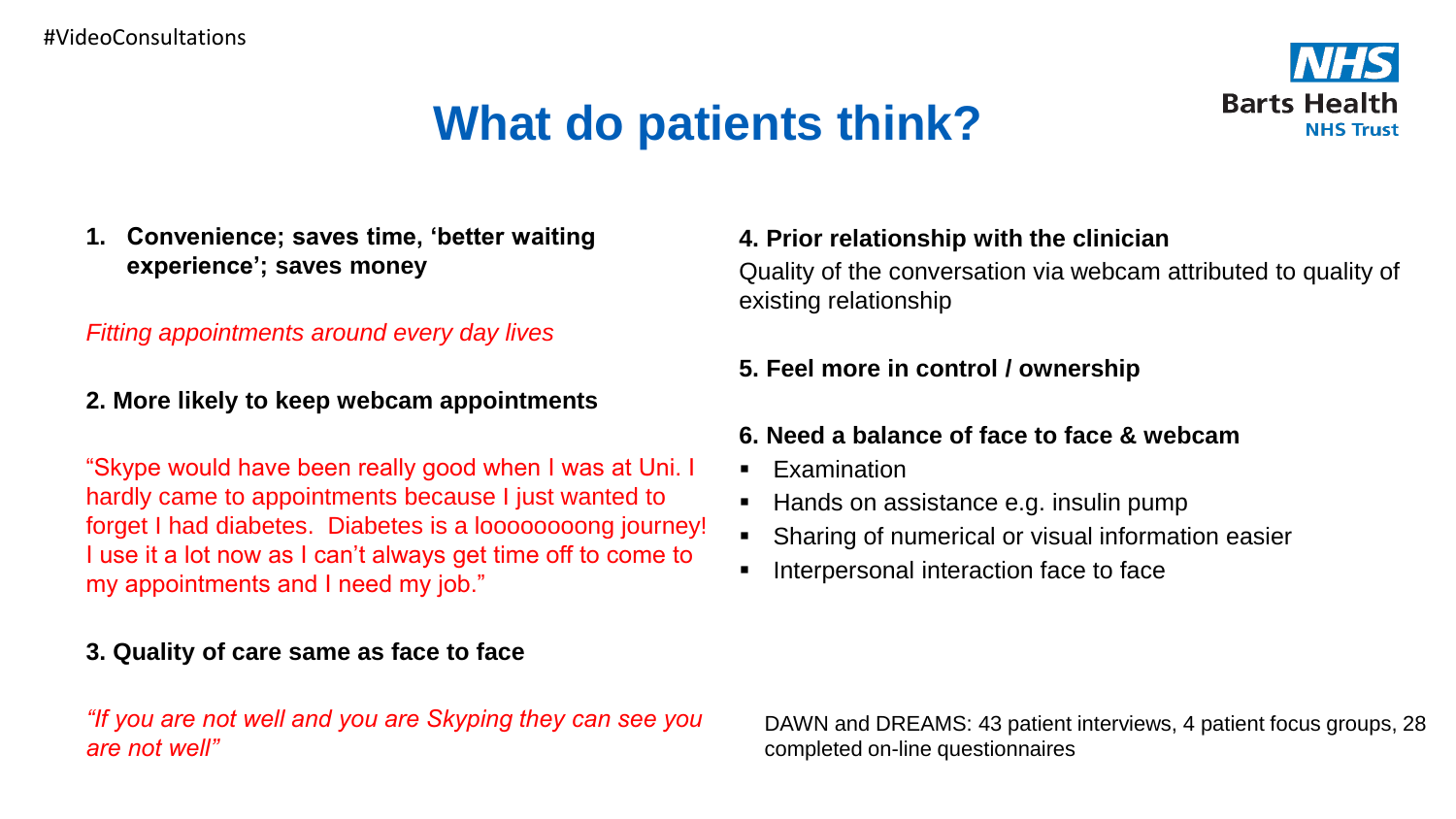



**1. Convenience; saves time, 'better waiting experience'; saves money**

#### *Fitting appointments around every day lives*

#### **2. More likely to keep webcam appointments**

"Skype would have been really good when I was at Uni. I hardly came to appointments because I just wanted to forget I had diabetes. Diabetes is a loooooooong journey! I use it a lot now as I can't always get time off to come to my appointments and I need my job."

#### **3. Quality of care same as face to face**

#### *"If you are not well and you are Skyping they can see you are not well"*

#### **4. Prior relationship with the clinician**

Quality of the conversation via webcam attributed to quality of existing relationship

#### **5. Feel more in control / ownership**

#### **6. Need a balance of face to face & webcam**

- **Examination**
- Hands on assistance e.g. insulin pump
- Sharing of numerical or visual information easier
- Interpersonal interaction face to face

DAWN and DREAMS: 43 patient interviews, 4 patient focus groups, 28 completed on-line questionnaires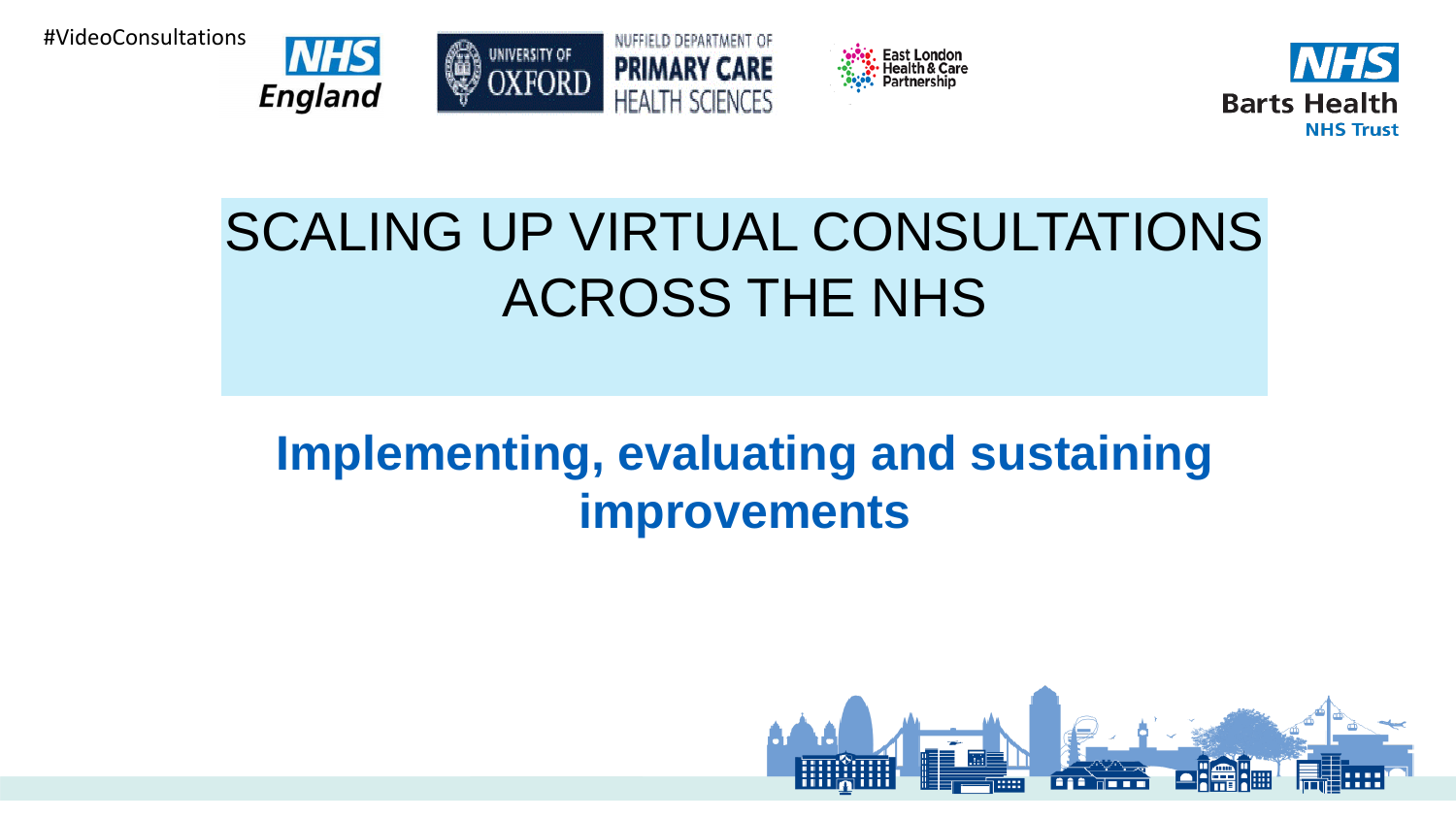#VideoConsultations









## SCALING UP VIRTUAL CONSULTATIONS ACROSS THE NHS

## **Implementing, evaluating and sustaining improvements**

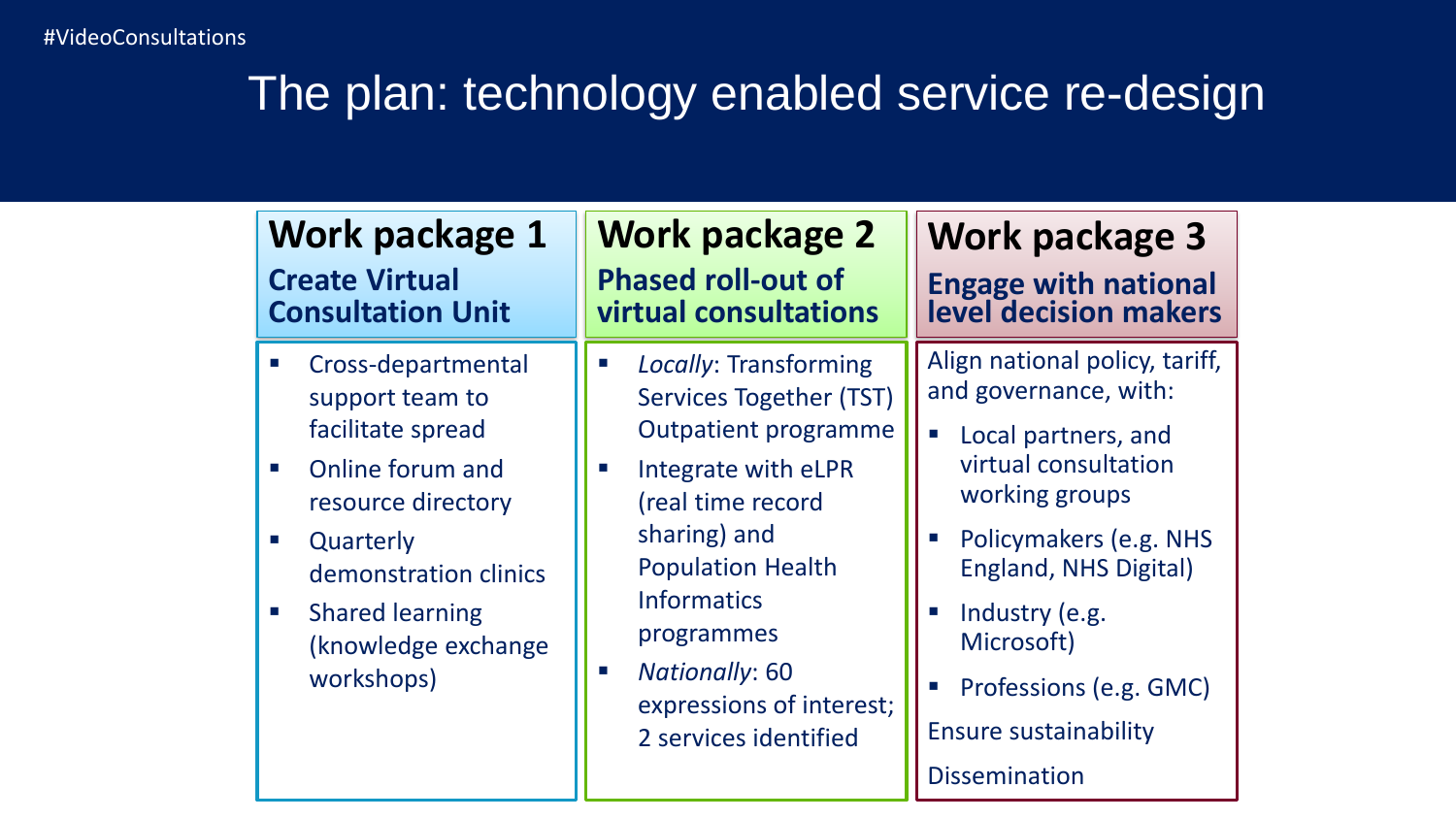## The plan: technology enabled service re-design

| Work package 1                                                                                                                                                                                                                                                                                      | <b>Work package 2</b>                                                                                                                                                                                                                                                                                                                                                           | Work package 3                                                                                                                                                                                                                                                                                                                                                                         |
|-----------------------------------------------------------------------------------------------------------------------------------------------------------------------------------------------------------------------------------------------------------------------------------------------------|---------------------------------------------------------------------------------------------------------------------------------------------------------------------------------------------------------------------------------------------------------------------------------------------------------------------------------------------------------------------------------|----------------------------------------------------------------------------------------------------------------------------------------------------------------------------------------------------------------------------------------------------------------------------------------------------------------------------------------------------------------------------------------|
| <b>Create Virtual</b>                                                                                                                                                                                                                                                                               | <b>Phased roll-out of</b>                                                                                                                                                                                                                                                                                                                                                       | <b>Engage with national</b>                                                                                                                                                                                                                                                                                                                                                            |
| <b>Consultation Unit</b>                                                                                                                                                                                                                                                                            | virtual consultations                                                                                                                                                                                                                                                                                                                                                           | level decision makers                                                                                                                                                                                                                                                                                                                                                                  |
| Cross-departmental<br>support team to<br>facilitate spread<br>Online forum and<br>$\mathcal{L}_{\rm{eff}}$<br>resource directory<br>Quarterly<br>$\mathcal{L}_{\mathcal{A}}$<br>demonstration clinics<br><b>Shared learning</b><br>$\mathcal{L}_{\mathcal{A}}$<br>(knowledge exchange<br>workshops) | Locally: Transforming<br>$\mathcal{L}_{\mathcal{A}}$<br><b>Services Together (TST)</b><br><b>Outpatient programme</b><br>Integrate with eLPR<br>$\mathcal{L}_{\mathcal{A}}$<br>(real time record<br>sharing) and<br><b>Population Health</b><br><b>Informatics</b><br>programmes<br><b>Nationally: 60</b><br>$\mathcal{L}$<br>expressions of interest;<br>2 services identified | Align national policy, tariff,<br>and governance, with:<br>Local partners, and<br>$\mathcal{L}_{\mathcal{A}}$<br>virtual consultation<br>working groups<br>Policymakers (e.g. NHS<br>$\mathcal{L}_{\rm{in}}$<br>England, NHS Digital)<br>Industry (e.g.<br>$\mathcal{L}_{\mathcal{A}}$<br>Microsoft)<br>Professions (e.g. GMC)<br><b>Ensure sustainability</b><br><b>Dissemination</b> |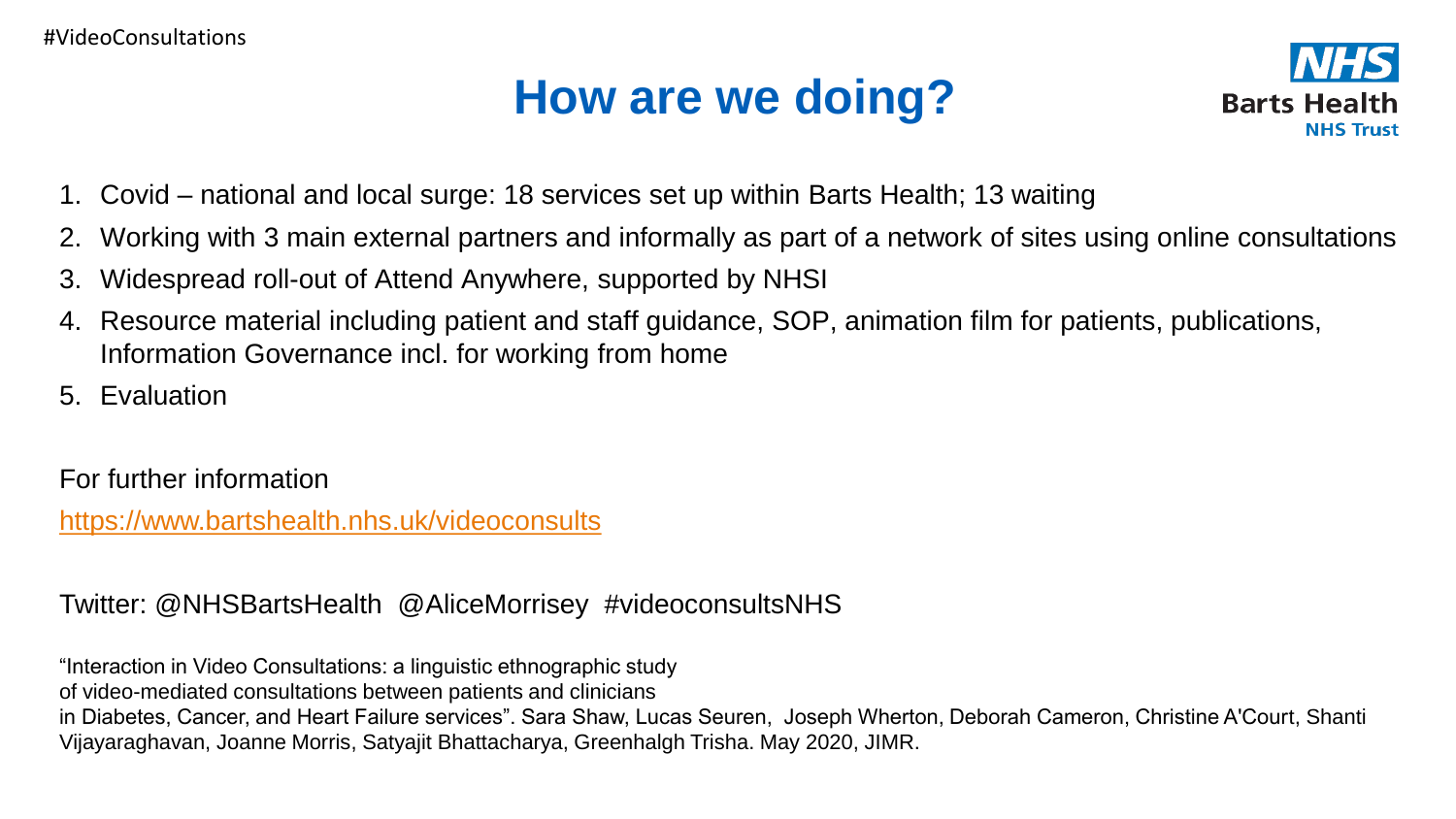## **How are we doing?**



- 1. Covid national and local surge: 18 services set up within Barts Health; 13 waiting
- 2. Working with 3 main external partners and informally as part of a network of sites using online consultations
- 3. Widespread roll-out of Attend Anywhere, supported by NHSI
- 4. Resource material including patient and staff guidance, SOP, animation film for patients, publications, Information Governance incl. for working from home
- 5. Evaluation

For further information

<https://www.bartshealth.nhs.uk/videoconsults>

Twitter: @NHSBartsHealth @AliceMorrisey #videoconsultsNHS

"Interaction in Video Consultations: a linguistic ethnographic study

of video-mediated consultations between patients and clinicians

in Diabetes, Cancer, and Heart Failure services". Sara Shaw, Lucas Seuren, Joseph Wherton, Deborah Cameron, Christine A'Court, Shanti Vijayaraghavan, Joanne Morris, Satyajit Bhattacharya, Greenhalgh Trisha. May 2020, JIMR.